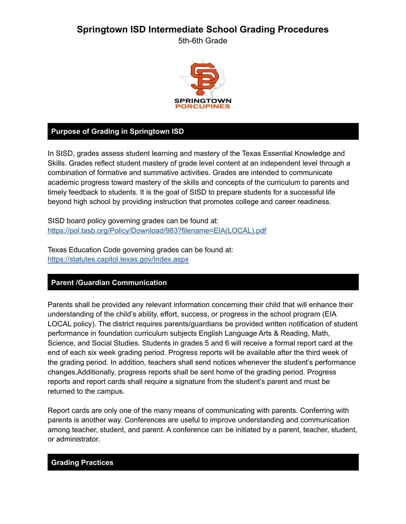# **Springtown ISD Intermediate School Grading Procedures**

5th-6th Grade



### **Purpose of Grading in Springtown ISD**

In SISD, grades assess student learning and mastery of the Texas Essential Knowledge and Skills. Grades reflect student mastery of grade level content at an independent level through a combination of formative and summative activities. Grades are intended to communicate academic progress toward mastery of the skills and concepts of the curriculum to parents and timely feedback to students. It is the goal of SISD to prepare students for a successful life beyond high school by providing instruction that promotes college and career readiness.

SISD board policy governing grades can be found at: [https://pol.tasb.org/Policy/Download/983?filename=EIA\(LOCAL\).pdf](https://pol.tasb.org/Policy/Download/983?filename=EIA(LOCAL).pdf)

Texas Education Code governing grades can be found at: <https://statutes.capitol.texas.gov/Index.aspx>

### **Parent /Guardian Communication**

Parents shall be provided any relevant information concerning their child that will enhance their understanding of the child's ability, effort, success, or progress in the school program (EIA LOCAL policy). The district requires parents/guardians be provided written notification of student performance in foundation curriculum subjects English Language Arts & Reading, Math, Science, and Social Studies. Students in grades 5 and 6 will receive a formal report card at the end of each six week grading period. Progress reports will be available after the third week of the grading period. In addition, teachers shall send notices whenever the student's performance changes.Additionally, progress reports shall be sent home of the grading period. Progress reports and report cards shall require a signature from the student's parent and must be returned to the campus.

Report cards are only one of the many means of communicating with parents. Conferring with parents is another way. Conferences are useful to improve understanding and communication among teacher, student, and parent. A conference can be initiated by a parent, teacher, student, or administrator.

#### **Grading Practices**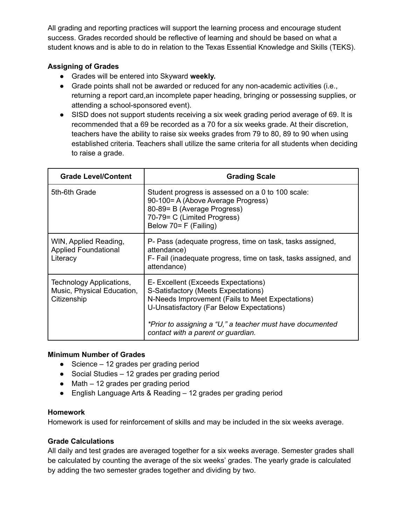All grading and reporting practices will support the learning process and encourage student success. Grades recorded should be reflective of learning and should be based on what a student knows and is able to do in relation to the Texas Essential Knowledge and Skills (TEKS).

### **Assigning of Grades**

- Grades will be entered into Skyward **weekly.**
- Grade points shall not be awarded or reduced for any non-academic activities (i.e., returning a report card,an incomplete paper heading, bringing or possessing supplies, or attending a school-sponsored event).
- SISD does not support students receiving a six week grading period average of 69. It is recommended that a 69 be recorded as a 70 for a six weeks grade. At their discretion, teachers have the ability to raise six weeks grades from 79 to 80, 89 to 90 when using established criteria. Teachers shall utilize the same criteria for all students when deciding to raise a grade.

| <b>Grade Level/Content</b>                                            | <b>Grading Scale</b>                                                                                                                                                                                                                                                           |  |  |
|-----------------------------------------------------------------------|--------------------------------------------------------------------------------------------------------------------------------------------------------------------------------------------------------------------------------------------------------------------------------|--|--|
| 5th-6th Grade                                                         | Student progress is assessed on a 0 to 100 scale:<br>90-100= A (Above Average Progress)<br>80-89= B (Average Progress)<br>70-79= C (Limited Progress)<br>Below 70 = F (Failing)                                                                                                |  |  |
| WIN, Applied Reading,<br><b>Applied Foundational</b><br>Literacy      | P- Pass (adequate progress, time on task, tasks assigned,<br>attendance)<br>F- Fail (inadequate progress, time on task, tasks assigned, and<br>attendance)                                                                                                                     |  |  |
| Technology Applications,<br>Music, Physical Education,<br>Citizenship | E- Excellent (Exceeds Expectations)<br>S-Satisfactory (Meets Expectations)<br>N-Needs Improvement (Fails to Meet Expectations)<br>U-Unsatisfactory (Far Below Expectations)<br>*Prior to assigning a "U," a teacher must have documented<br>contact with a parent or guardian. |  |  |

#### **Minimum Number of Grades**

- Science 12 grades per grading period
- Social Studies 12 grades per grading period
- Math 12 grades per grading period
- English Language Arts & Reading 12 grades per grading period

#### **Homework**

Homework is used for reinforcement of skills and may be included in the six weeks average.

### **Grade Calculations**

All daily and test grades are averaged together for a six weeks average. Semester grades shall be calculated by counting the average of the six weeks' grades. The yearly grade is calculated by adding the two semester grades together and dividing by two.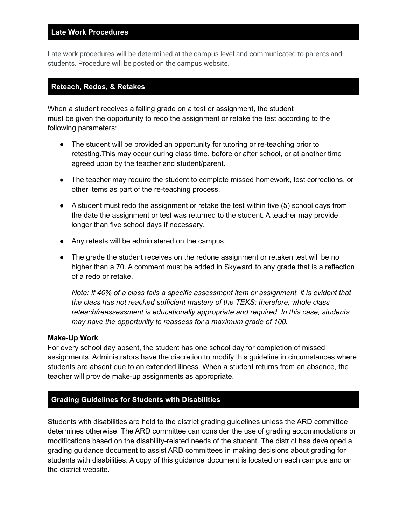### **Late Work Procedures**

Late work procedures will be determined at the campus level and communicated to parents and students. Procedure will be posted on the campus website.

### **Reteach, Redos, & Retakes**

When a student receives a failing grade on a test or assignment, the student must be given the opportunity to redo the assignment or retake the test according to the following parameters:

- The student will be provided an opportunity for tutoring or re-teaching prior to retesting.This may occur during class time, before or after school, or at another time agreed upon by the teacher and student/parent.
- The teacher may require the student to complete missed homework, test corrections, or other items as part of the re-teaching process.
- A student must redo the assignment or retake the test within five (5) school days from the date the assignment or test was returned to the student. A teacher may provide longer than five school days if necessary.
- Any retests will be administered on the campus.
- The grade the student receives on the redone assignment or retaken test will be no higher than a 70. A comment must be added in Skyward to any grade that is a reflection of a redo or retake.

*Note: If 40% of a class fails a specific assessment item or assignment, it is evident that the class has not reached sufficient mastery of the TEKS; therefore, whole class reteach/reassessment is educationally appropriate and required. In this case, students may have the opportunity to reassess for a maximum grade of 100.*

#### **Make-Up Work**

For every school day absent, the student has one school day for completion of missed assignments. Administrators have the discretion to modify this guideline in circumstances where students are absent due to an extended illness. When a student returns from an absence, the teacher will provide make-up assignments as appropriate.

#### **Grading Guidelines for Students with Disabilities**

Students with disabilities are held to the district grading guidelines unless the ARD committee determines otherwise. The ARD committee can consider the use of grading accommodations or modifications based on the disability-related needs of the student. The district has developed a grading guidance document to assist ARD committees in making decisions about grading for students with disabilities. A copy of this guidance document is located on each campus and on the district website.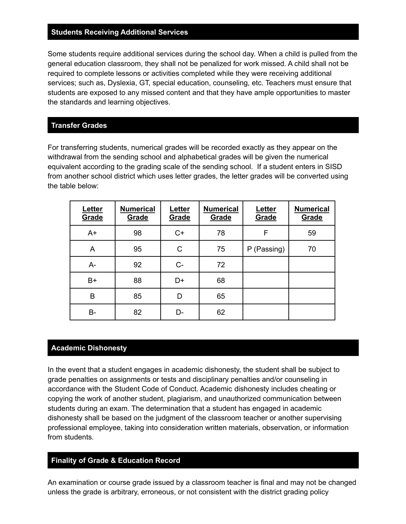#### **Students Receiving Additional Services**

Some students require additional services during the school day. When a child is pulled from the general education classroom, they shall not be penalized for work missed. A child shall not be required to complete lessons or activities completed while they were receiving additional services; such as, Dyslexia, GT, special education, counseling, etc. Teachers must ensure that students are exposed to any missed content and that they have ample opportunities to master the standards and learning objectives.

#### **Transfer Grades**

For transferring students, numerical grades will be recorded exactly as they appear on the withdrawal from the sending school and alphabetical grades will be given the numerical equivalent according to the grading scale of the sending school. If a student enters in SISD from another school district which uses letter grades, the letter grades will be converted using the table below:

| Letter<br>Grade | <b>Numerical</b><br>Grade | Letter<br><u>Grade</u> | <b>Numerical</b><br>Grade | Letter<br><u>Grade</u> | <b>Numerical</b><br>Grade |
|-----------------|---------------------------|------------------------|---------------------------|------------------------|---------------------------|
| $A+$            | 98                        | $C+$                   | 78                        | F                      | 59                        |
| A               | 95                        | C                      | 75                        | P (Passing)            | 70                        |
| A-              | 92                        | C-                     | 72                        |                        |                           |
| $B+$            | 88                        | D+                     | 68                        |                        |                           |
| B               | 85                        | D                      | 65                        |                        |                           |
| В-              | 82                        | D-                     | 62                        |                        |                           |

#### **Academic Dishonesty**

In the event that a student engages in academic dishonesty, the student shall be subject to grade penalties on assignments or tests and disciplinary penalties and/or counseling in accordance with the Student Code of Conduct. Academic dishonesty includes cheating or copying the work of another student, plagiarism, and unauthorized communication between students during an exam. The determination that a student has engaged in academic dishonesty shall be based on the judgment of the classroom teacher or another supervising professional employee, taking into consideration written materials, observation, or information from students.

#### **Finality of Grade & Education Record**

An examination or course grade issued by a classroom teacher is final and may not be changed unless the grade is arbitrary, erroneous, or not consistent with the district grading policy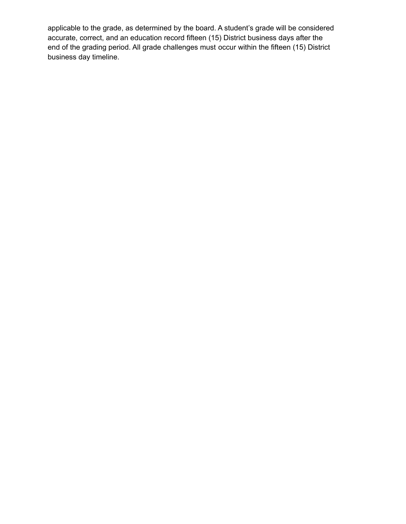applicable to the grade, as determined by the board. A student's grade will be considered accurate, correct, and an education record fifteen (15) District business days after the end of the grading period. All grade challenges must occur within the fifteen (15) District business day timeline.